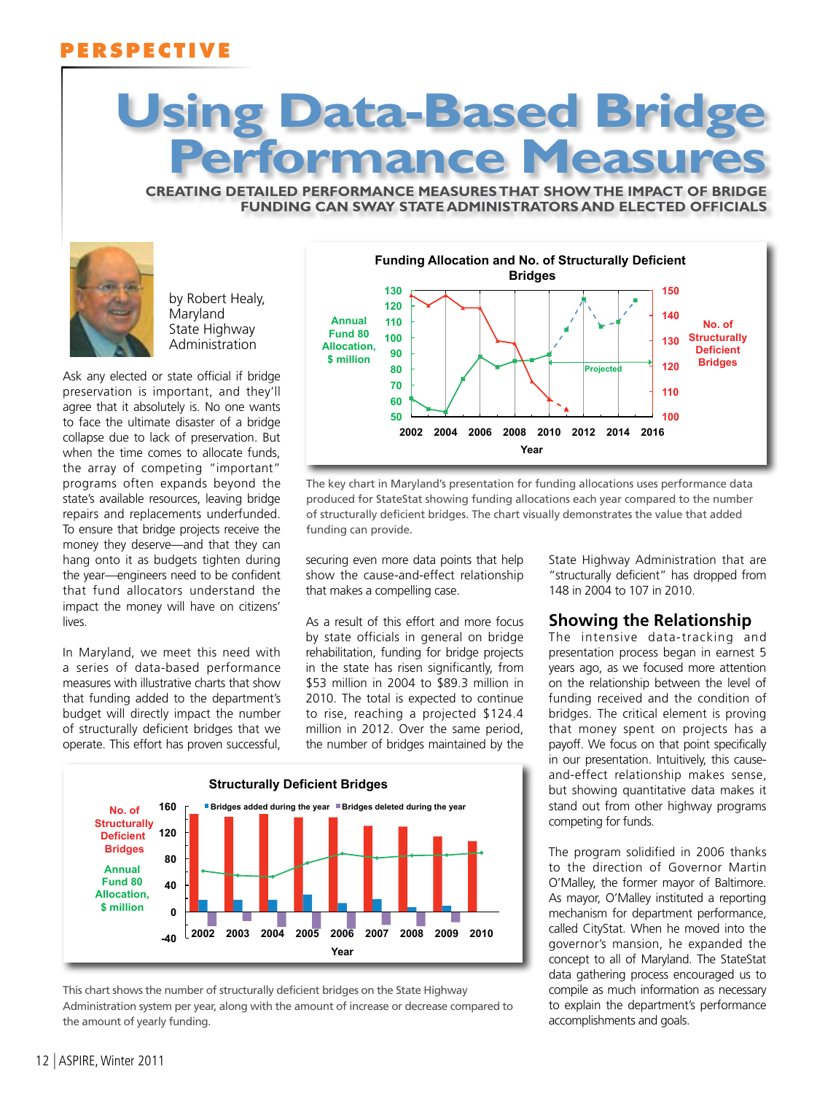## **PERSPECTIVE**

# **Using Data-Based Bridge Performance Measures**

**creating detailed performance measures that show the impact of bridge funding can sway state administrators and elected officials**



by Robert Healy, Maryland State Highway Administration

Ask any elected or state official if bridge preservation is important, and they'll agree that it absolutely is. No one wants to face the ultimate disaster of a bridge collapse due to lack of preservation. But when the time comes to allocate funds, the array of competing "important" programs often expands beyond the state's available resources, leaving bridge repairs and replacements underfunded. To ensure that bridge projects receive the money they deserve—and that they can hang onto it as budgets tighten during the year—engineers need to be confident that fund allocators understand the impact the money will have on citizens' lives.

In Maryland, we meet this need with a series of data-based performance measures with illustrative charts that show that funding added to the department's budget will directly impact the number of structurally deficient bridges that we operate. This effort has proven successful,



The key chart in Maryland's presentation for funding allocations uses performance data produced for StateStat showing funding allocations each year compared to the number of structurally deficient bridges. The chart visually demonstrates the value that added funding can provide.

securing even more data points that help show the cause-and-effect relationship that makes a compelling case.

As a result of this effort and more focus by state officials in general on bridge rehabilitation, funding for bridge projects in the state has risen significantly, from \$53 million in 2004 to \$89.3 million in 2010. The total is expected to continue to rise, reaching a projected \$124.4 million in 2012. Over the same period, the number of bridges maintained by the



This chart shows the number of structurally deficient bridges on the State Highway Administration system per year, along with the amount of increase or decrease compared to the amount of yearly funding.

State Highway Administration that are "structurally deficient" has dropped from 148 in 2004 to 107 in 2010.

#### **Showing the Relationship**

The intensive data-tracking and presentation process began in earnest 5 years ago, as we focused more attention on the relationship between the level of funding received and the condition of bridges. The critical element is proving that money spent on projects has a payoff. We focus on that point specifically in our presentation. Intuitively, this causeand-effect relationship makes sense, but showing quantitative data makes it stand out from other highway programs competing for funds.

The program solidified in 2006 thanks to the direction of Governor Martin O'Malley, the former mayor of Baltimore. As mayor, O'Malley instituted a reporting mechanism for department performance, called CityStat. When he moved into the governor's mansion, he expanded the concept to all of Maryland. The StateStat data gathering process encouraged us to compile as much information as necessary to explain the department's performance accomplishments and goals.